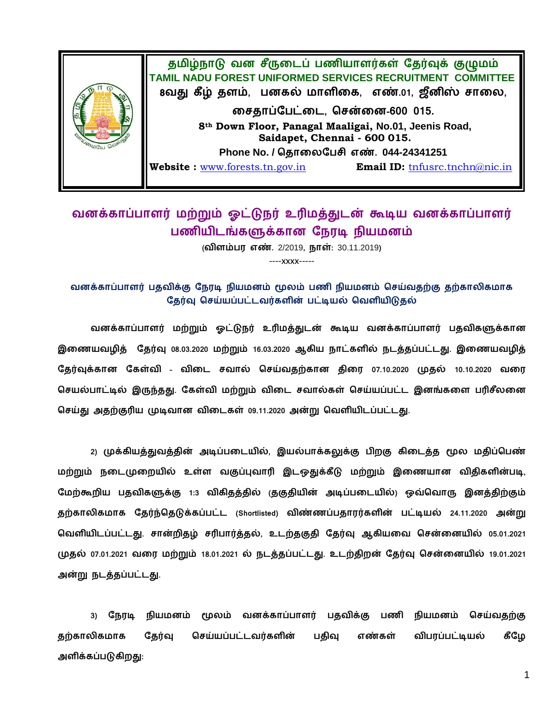

## வனக்காப்பாளர் மற்றும் ஓட்டுநர் உரிமத்துடன் கூடிய வனக்காப்பாளர் பணியிடங்களுக்கான நேரடி நியமனம்

( **.** 2/2019**, :** 30.11.2019**)**

----xxxx-----

வனக்காப்பாளர் பதவிக்கு நேரடி நியமனம் மூலம் பணி நியமனம் செய்வதற்கு தற்காலிகமாக தேர்வு செய்யப்பட்டவர்களின் பட்டியல் வெளியிடுதல்

வனக்காப்பாளர் மற்றும் ஓட்டுநர் உரிமத்துடன் கூடிய வனக்காப்பாளர் பதவிகளுக்கான இணையவழித் தேர்வு 08.03.2020 மற்றும் 16.03.2020 ஆகிய நாட்களில் நடத்தப்பட்டது. இணையவழித் கேர்வக்கான கேள்வி - விடை சவால் செய்வகற்கான கிரை 07.10.2020 முகல் 10.10.2020 வரை செயல்பாட்டில் இருந்தது. கேள்வி மற்றும் விடை சவால்கள் செய்யப்பட்ட இனங்களை பரிசீலனை செய்து அதற்குரிய முடிவான விடைகள் 09.11.2020 அன்று வெளியிடப்பட்டது.

2) முக்கியத்துவத்தின் அடிப்படையில், இயல்பாக்கலுக்கு பிறகு கிடைத்த மூல மதிப்பெண் மற்றும் நடைமுறையில் உள்ள வகுப்புவாரி இடஒதுக்கீடு மற்றும் இணையான விதிகளின்படி, மேற்கூறிய பதவிகளுக்கு 1:3 விகிதத்தில் குகுதியின் அடிப்படையில்) ஒவ்வொரு இனத்திற்கும் தற்காலிகமாக தேர்ந்தெடுக்கப்பட்ட (Shortlisted) விண்ணப்பதாரர்களின் பட்டியல் 24.11.2020 அன்று வெளியிடப்பட்டது. சான்றிதழ் சரிபார்த்தல், உடற்தகுதி தேர்வு ஆகியவை சென்னையில் **05.01.2021** முதல் 07.01.2021 வரை மற்றும் 18.01.2021 ல் நடத்தப்பட்டது. உடற்திறன் தேர்வு சென்னையில் 19.01.2021  **.**

3) நேரடி நியமனம் மூலம் வனக்காப்பாளர் பதவிக்கு பணி நியமனம் செய்வதற்கு  தேர்வு செய்யப்பட்டவர்களின் பதிவு எண்கள் விபரப்பட்டியல் கீழே  **:**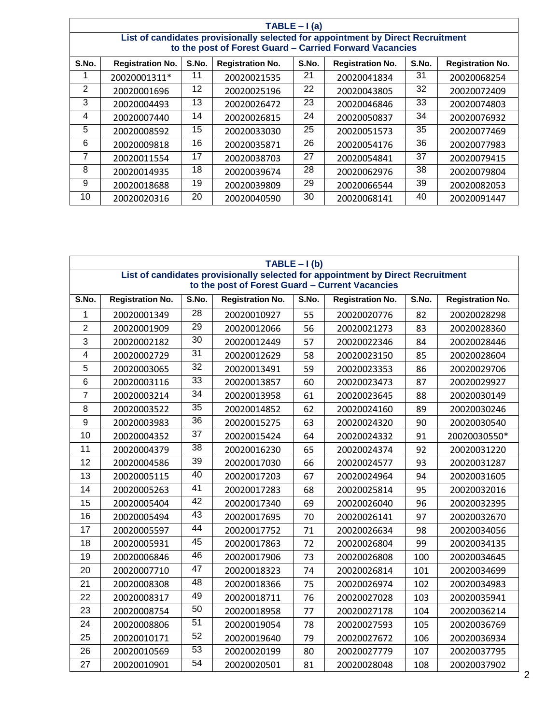| TABLE $-1$ (a)                                                                                                                             |                         |       |                         |       |                         |       |                         |  |
|--------------------------------------------------------------------------------------------------------------------------------------------|-------------------------|-------|-------------------------|-------|-------------------------|-------|-------------------------|--|
| List of candidates provisionally selected for appointment by Direct Recruitment<br>to the post of Forest Guard - Carried Forward Vacancies |                         |       |                         |       |                         |       |                         |  |
| S.No.                                                                                                                                      | <b>Registration No.</b> | S.No. | <b>Registration No.</b> | S.No. | <b>Registration No.</b> | S.No. | <b>Registration No.</b> |  |
|                                                                                                                                            | 20020001311*            | 11    | 20020021535             | 21    | 20020041834             | 31    | 20020068254             |  |
| 2                                                                                                                                          | 20020001696             | 12.   | 20020025196             | 22    | 20020043805             | 32    | 20020072409             |  |
| 3                                                                                                                                          | 20020004493             | 13    | 20020026472             | 23    | 20020046846             | 33    | 20020074803             |  |
| 4                                                                                                                                          | 20020007440             | 14    | 20020026815             | 24    | 20020050837             | 34    | 20020076932             |  |
| 5                                                                                                                                          | 20020008592             | 15    | 20020033030             | 25    | 20020051573             | 35    | 20020077469             |  |
| 6                                                                                                                                          | 20020009818             | 16    | 20020035871             | 26    | 20020054176             | 36    | 20020077983             |  |
| 7                                                                                                                                          | 20020011554             | 17    | 20020038703             | 27    | 20020054841             | 37    | 20020079415             |  |
| 8                                                                                                                                          | 20020014935             | 18    | 20020039674             | 28    | 20020062976             | 38    | 20020079804             |  |
| 9                                                                                                                                          | 20020018688             | 19    | 20020039809             | 29    | 20020066544             | 39    | 20020082053             |  |
| 10                                                                                                                                         | 20020020316             | 20    | 20020040590             | 30    | 20020068141             | 40    | 20020091447             |  |

| $TABLE - I(b)$                                                                  |                         |                 |                         |       |                         |       |                         |  |
|---------------------------------------------------------------------------------|-------------------------|-----------------|-------------------------|-------|-------------------------|-------|-------------------------|--|
| List of candidates provisionally selected for appointment by Direct Recruitment |                         |                 |                         |       |                         |       |                         |  |
| to the post of Forest Guard - Current Vacancies                                 |                         |                 |                         |       |                         |       |                         |  |
| S.No.                                                                           | <b>Registration No.</b> | S.No.           | <b>Registration No.</b> | S.No. | <b>Registration No.</b> | S.No. | <b>Registration No.</b> |  |
| 1                                                                               | 20020001349             | $\overline{28}$ | 20020010927             | 55    | 20020020776             | 82    | 20020028298             |  |
| $\overline{2}$                                                                  | 20020001909             | 29              | 20020012066             | 56    | 20020021273             | 83    | 20020028360             |  |
| 3                                                                               | 20020002182             | $\overline{30}$ | 20020012449             | 57    | 20020022346             | 84    | 20020028446             |  |
| 4                                                                               | 20020002729             | $\overline{31}$ | 20020012629             | 58    | 20020023150             | 85    | 20020028604             |  |
| 5                                                                               | 20020003065             | $\overline{32}$ | 20020013491             | 59    | 20020023353             | 86    | 20020029706             |  |
| 6                                                                               | 20020003116             | 33              | 20020013857             | 60    | 20020023473             | 87    | 20020029927             |  |
| $\overline{7}$                                                                  | 20020003214             | 34              | 20020013958             | 61    | 20020023645             | 88    | 20020030149             |  |
| 8                                                                               | 20020003522             | $\overline{35}$ | 20020014852             | 62    | 20020024160             | 89    | 20020030246             |  |
| 9                                                                               | 20020003983             | 36              | 20020015275             | 63    | 20020024320             | 90    | 20020030540             |  |
| 10                                                                              | 20020004352             | $\overline{37}$ | 20020015424             | 64    | 20020024332             | 91    | 20020030550*            |  |
| 11                                                                              | 20020004379             | $\overline{38}$ | 20020016230             | 65    | 20020024374             | 92    | 20020031220             |  |
| 12                                                                              | 20020004586             | 39              | 20020017030             | 66    | 20020024577             | 93    | 20020031287             |  |
| 13                                                                              | 20020005115             | 40              | 20020017203             | 67    | 20020024964             | 94    | 20020031605             |  |
| 14                                                                              | 20020005263             | 41              | 20020017283             | 68    | 20020025814             | 95    | 20020032016             |  |
| 15                                                                              | 20020005404             | 42              | 20020017340             | 69    | 20020026040             | 96    | 20020032395             |  |
| 16                                                                              | 20020005494             | $\overline{43}$ | 20020017695             | 70    | 20020026141             | 97    | 20020032670             |  |
| 17                                                                              | 20020005597             | 44              | 20020017752             | 71    | 20020026634             | 98    | 20020034056             |  |
| 18                                                                              | 20020005931             | 45              | 20020017863             | 72    | 20020026804             | 99    | 20020034135             |  |
| 19                                                                              | 20020006846             | 46              | 20020017906             | 73    | 20020026808             | 100   | 20020034645             |  |
| 20                                                                              | 20020007710             | 47              | 20020018323             | 74    | 20020026814             | 101   | 20020034699             |  |
| 21                                                                              | 20020008308             | $\overline{48}$ | 20020018366             | 75    | 20020026974             | 102   | 20020034983             |  |
| 22                                                                              | 20020008317             | 49              | 20020018711             | 76    | 20020027028             | 103   | 20020035941             |  |
| 23                                                                              | 20020008754             | 50              | 20020018958             | 77    | 20020027178             | 104   | 20020036214             |  |
| 24                                                                              | 20020008806             | 51              | 20020019054             | 78    | 20020027593             | 105   | 20020036769             |  |
| 25                                                                              | 20020010171             | $\overline{52}$ | 20020019640             | 79    | 20020027672             | 106   | 20020036934             |  |
| 26                                                                              | 20020010569             | $\overline{53}$ | 20020020199             | 80    | 20020027779             | 107   | 20020037795             |  |
| 27                                                                              | 20020010901             | $\overline{54}$ | 20020020501             | 81    | 20020028048             | 108   | 20020037902             |  |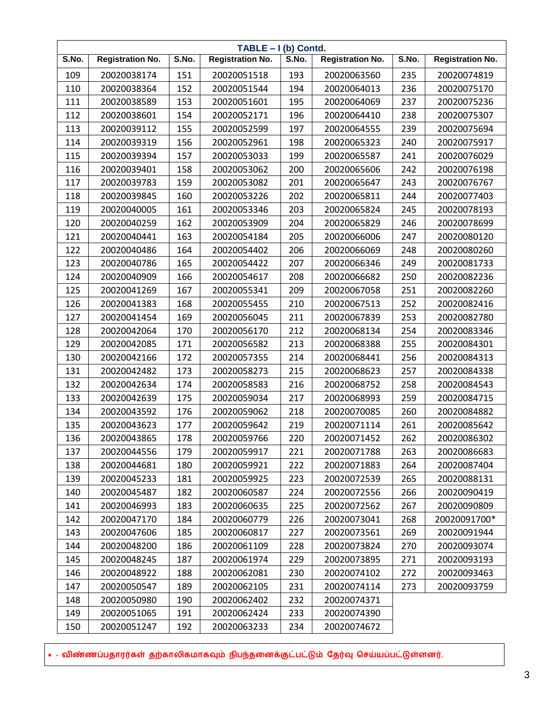| TABLE - I (b) Contd. |                         |       |                         |       |                         |       |                         |
|----------------------|-------------------------|-------|-------------------------|-------|-------------------------|-------|-------------------------|
| S.No.                | <b>Registration No.</b> | S.No. | <b>Registration No.</b> | S.No. | <b>Registration No.</b> | S.No. | <b>Registration No.</b> |
| 109                  | 20020038174             | 151   | 20020051518             | 193   | 20020063560             | 235   | 20020074819             |
| 110                  | 20020038364             | 152   | 20020051544             | 194   | 20020064013             | 236   | 20020075170             |
| 111                  | 20020038589             | 153   | 20020051601             | 195   | 20020064069             | 237   | 20020075236             |
| 112                  | 20020038601             | 154   | 20020052171             | 196   | 20020064410             | 238   | 20020075307             |
| 113                  | 20020039112             | 155   | 20020052599             | 197   | 20020064555             | 239   | 20020075694             |
| 114                  | 20020039319             | 156   | 20020052961             | 198   | 20020065323             | 240   | 20020075917             |
| 115                  | 20020039394             | 157   | 20020053033             | 199   | 20020065587             | 241   | 20020076029             |
| 116                  | 20020039401             | 158   | 20020053062             | 200   | 20020065606             | 242   | 20020076198             |
| 117                  | 20020039783             | 159   | 20020053082             | 201   | 20020065647             | 243   | 20020076767             |
| 118                  | 20020039845             | 160   | 20020053226             | 202   | 20020065811             | 244   | 20020077403             |
| 119                  | 20020040005             | 161   | 20020053346             | 203   | 20020065824             | 245   | 20020078193             |
| 120                  | 20020040259             | 162   | 20020053909             | 204   | 20020065829             | 246   | 20020078699             |
| 121                  | 20020040441             | 163   | 20020054184             | 205   | 20020066006             | 247   | 20020080120             |
| 122                  | 20020040486             | 164   | 20020054402             | 206   | 20020066069             | 248   | 20020080260             |
| 123                  | 20020040786             | 165   | 20020054422             | 207   | 20020066346             | 249   | 20020081733             |
| 124                  | 20020040909             | 166   | 20020054617             | 208   | 20020066682             | 250   | 20020082236             |
| 125                  | 20020041269             | 167   | 20020055341             | 209   | 20020067058             | 251   | 20020082260             |
| 126                  | 20020041383             | 168   | 20020055455             | 210   | 20020067513             | 252   | 20020082416             |
| 127                  | 20020041454             | 169   | 20020056045             | 211   | 20020067839             | 253   | 20020082780             |
| 128                  | 20020042064             | 170   | 20020056170             | 212   | 20020068134             | 254   | 20020083346             |
| 129                  | 20020042085             | 171   | 20020056582             | 213   | 20020068388             | 255   | 20020084301             |
| 130                  | 20020042166             | 172   | 20020057355             | 214   | 20020068441             | 256   | 20020084313             |
| 131                  | 20020042482             | 173   | 20020058273             | 215   | 20020068623             | 257   | 20020084338             |
| 132                  | 20020042634             | 174   | 20020058583             | 216   | 20020068752             | 258   | 20020084543             |
| 133                  | 20020042639             | 175   | 20020059034             | 217   | 20020068993             | 259   | 20020084715             |
| 134                  | 20020043592             | 176   | 20020059062             | 218   | 20020070085             | 260   | 20020084882             |
| 135                  | 20020043623             | 177   | 20020059642             | 219   | 20020071114             | 261   | 20020085642             |
| 136                  | 20020043865             | 178   | 20020059766             | 220   | 20020071452             | 262   | 20020086302             |
| 137                  | 20020044556             | 179   | 20020059917             | 221   | 20020071788             | 263   | 20020086683             |
| 138                  | 20020044681             | 180   | 20020059921             | 222   | 20020071883             | 264   | 20020087404             |
| 139                  | 20020045233             | 181   | 20020059925             | 223   | 20020072539             | 265   | 20020088131             |
| 140                  | 20020045487             | 182   | 20020060587             | 224   | 20020072556             | 266   | 20020090419             |
| 141                  | 20020046993             | 183   | 20020060635             | 225   | 20020072562             | 267   | 20020090809             |
| 142                  | 20020047170             | 184   | 20020060779             | 226   | 20020073041             | 268   | 20020091700*            |
| 143                  | 20020047606             | 185   | 20020060817             | 227   | 20020073561             | 269   | 20020091944             |
| 144                  | 20020048200             | 186   | 20020061109             | 228   | 20020073824             | 270   | 20020093074             |
| 145                  | 20020048245             | 187   | 20020061974             | 229   | 20020073895             | 271   | 20020093193             |
| 146                  | 20020048922             | 188   | 20020062081             | 230   | 20020074102             | 272   | 20020093463             |
| 147                  | 20020050547             | 189   | 20020062105             | 231   | 20020074114             | 273   | 20020093759             |
| 148                  | 20020050980             | 190   | 20020062402             | 232   | 20020074371             |       |                         |
| 149                  | 20020051065             | 191   | 20020062424             | 233   | 20020074390             |       |                         |
| 150                  | 20020051247             | 192   | 20020063233             | 234   | 20020074672             |       |                         |

\* - விண்ணப்பதாரர்கள் தற்காலிகமாகவும் நிபந்தனைக்குட்பட்டும் தேர்வு செய்யப்பட்டுள்ளனர்.